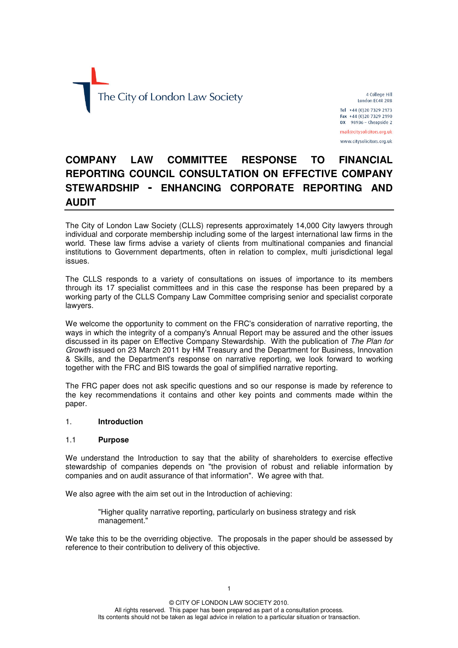

4 College Hill London FC4R 2RB

Tel +44 (0) 20 7329 2173 Fax +44 (0)20 7329 2190  $DX$  98936 - Cheapside 2

mail@citysolicitors.org.uk www.citysolicitors.org.uk

# **COMPANY LAW COMMITTEE RESPONSE TO FINANCIAL REPORTING COUNCIL CONSULTATION ON EFFECTIVE COMPANY STEWARDSHIP - ENHANCING CORPORATE REPORTING AND AUDIT**

The City of London Law Society (CLLS) represents approximately 14,000 City lawyers through individual and corporate membership including some of the largest international law firms in the world. These law firms advise a variety of clients from multinational companies and financial institutions to Government departments, often in relation to complex, multi jurisdictional legal issues.

The CLLS responds to a variety of consultations on issues of importance to its members through its 17 specialist committees and in this case the response has been prepared by a working party of the CLLS Company Law Committee comprising senior and specialist corporate lawyers.

We welcome the opportunity to comment on the FRC's consideration of narrative reporting, the ways in which the integrity of a company's Annual Report may be assured and the other issues discussed in its paper on Effective Company Stewardship. With the publication of *The Plan for Growth* issued on 23 March 2011 by HM Treasury and the Department for Business, Innovation & Skills, and the Department's response on narrative reporting, we look forward to working together with the FRC and BIS towards the goal of simplified narrative reporting.

The FRC paper does not ask specific questions and so our response is made by reference to the key recommendations it contains and other key points and comments made within the paper.

# 1. **Introduction**

#### 1.1 **Purpose**

We understand the Introduction to say that the ability of shareholders to exercise effective stewardship of companies depends on "the provision of robust and reliable information by companies and on audit assurance of that information". We agree with that.

We also agree with the aim set out in the Introduction of achieving:

"Higher quality narrative reporting, particularly on business strategy and risk management."

We take this to be the overriding objective. The proposals in the paper should be assessed by reference to their contribution to delivery of this objective.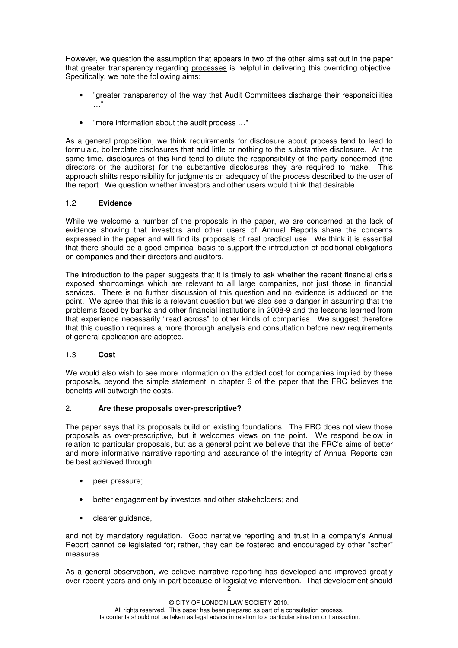However, we question the assumption that appears in two of the other aims set out in the paper that greater transparency regarding processes is helpful in delivering this overriding objective. Specifically, we note the following aims:

- "greater transparency of the way that Audit Committees discharge their responsibilities …"
- "more information about the audit process …"

As a general proposition, we think requirements for disclosure about process tend to lead to formulaic, boilerplate disclosures that add little or nothing to the substantive disclosure. At the same time, disclosures of this kind tend to dilute the responsibility of the party concerned (the directors or the auditors) for the substantive disclosures they are required to make. This approach shifts responsibility for judgments on adequacy of the process described to the user of the report. We question whether investors and other users would think that desirable.

# 1.2 **Evidence**

While we welcome a number of the proposals in the paper, we are concerned at the lack of evidence showing that investors and other users of Annual Reports share the concerns expressed in the paper and will find its proposals of real practical use. We think it is essential that there should be a good empirical basis to support the introduction of additional obligations on companies and their directors and auditors.

The introduction to the paper suggests that it is timely to ask whether the recent financial crisis exposed shortcomings which are relevant to all large companies, not just those in financial services. There is no further discussion of this question and no evidence is adduced on the point. We agree that this is a relevant question but we also see a danger in assuming that the problems faced by banks and other financial institutions in 2008-9 and the lessons learned from that experience necessarily "read across" to other kinds of companies. We suggest therefore that this question requires a more thorough analysis and consultation before new requirements of general application are adopted.

# 1.3 **Cost**

We would also wish to see more information on the added cost for companies implied by these proposals, beyond the simple statement in chapter 6 of the paper that the FRC believes the benefits will outweigh the costs.

# 2. **Are these proposals over-prescriptive?**

The paper says that its proposals build on existing foundations. The FRC does not view those proposals as over-prescriptive, but it welcomes views on the point. We respond below in relation to particular proposals, but as a general point we believe that the FRC's aims of better and more informative narrative reporting and assurance of the integrity of Annual Reports can be best achieved through:

- peer pressure;
- better engagement by investors and other stakeholders; and
- clearer guidance,

and not by mandatory regulation. Good narrative reporting and trust in a company's Annual Report cannot be legislated for; rather, they can be fostered and encouraged by other "softer" measures.

As a general observation, we believe narrative reporting has developed and improved greatly over recent years and only in part because of legislative intervention. That development should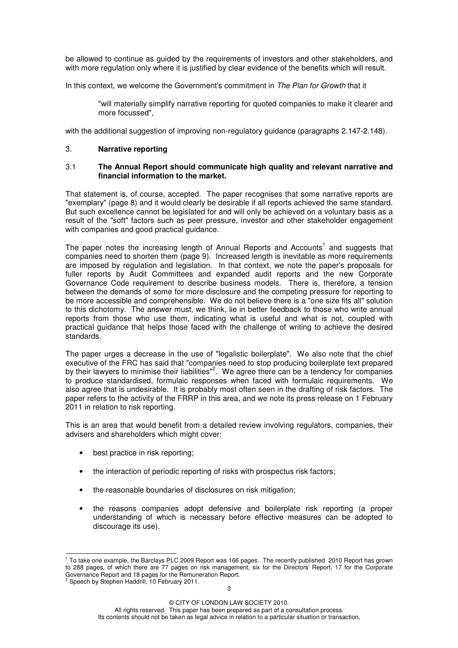be allowed to continue as guided by the requirements of investors and other stakeholders, and with more regulation only where it is justified by clear evidence of the benefits which will result.

In this context, we welcome the Government's commitment in *The Plan for Growth* that it

"will materially simplify narrative reporting for quoted companies to make it clearer and more focussed",

with the additional suggestion of improving non-regulatory guidance (paragraphs 2.147-2.148).

#### 3. **Narrative reporting**

#### 3.1 **The Annual Report should communicate high quality and relevant narrative and financial information to the market.**

That statement is, of course, accepted. The paper recognises that some narrative reports are "exemplary" (page 8) and it would clearly be desirable if all reports achieved the same standard. But such excellence cannot be legislated for and will only be achieved on a voluntary basis as a result of the "soft" factors such as peer pressure, investor and other stakeholder engagement with companies and good practical guidance.

The paper notes the increasing length of Annual Reports and Accounts<sup>1</sup> and suggests that companies need to shorten them (page 9). Increased length is inevitable as more requirements are imposed by regulation and legislation. In that context, we note the paper's proposals for fuller reports by Audit Committees and expanded audit reports and the new Corporate Governance Code requirement to describe business models. There is, therefore, a tension between the demands of some for more disclosure and the competing pressure for reporting to be more accessible and comprehensible. We do not believe there is a "one size fits all" solution to this dichotomy. The answer must, we think, lie in better feedback to those who write annual reports from those who use them, indicating what is useful and what is not, coupled with practical guidance that helps those faced with the challenge of writing to achieve the desired standards.

The paper urges a decrease in the use of "legalistic boilerplate". We also note that the chief executive of the FRC has said that "companies need to stop producing boilerplate text prepared by their lawyers to minimise their liabilities"<sup>2</sup>. We agree there can be a tendency for companies to produce standardised, formulaic responses when faced with formulaic requirements. We also agree that is undesirable. It is probably most often seen in the drafting of risk factors. The paper refers to the activity of the FRRP in this area, and we note its press release on 1 February 2011 in relation to risk reporting.

This is an area that would benefit from a detailed review involving regulators, companies, their advisers and shareholders which might cover:

- best practice in risk reporting:
- the interaction of periodic reporting of risks with prospectus risk factors;
- the reasonable boundaries of disclosures on risk mitigation;
- the reasons companies adopt defensive and boilerplate risk reporting (a proper understanding of which is necessary before effective measures can be adopted to discourage its use).

<sup>&</sup>lt;sup>1</sup> To take one example, the Barclays PLC 2009 Report was 166 pages. The recently published 2010 Report has grown to 288 pages, of which there are 77 pages on risk management, six for the Directors' Report, 17 for the Corporate Governance Report and 18 pages for the Remuneration Report.<br>Governance Report and 18 pages for the Remuneration Report.

Speech by Stephen Haddrill, 10 February 2011.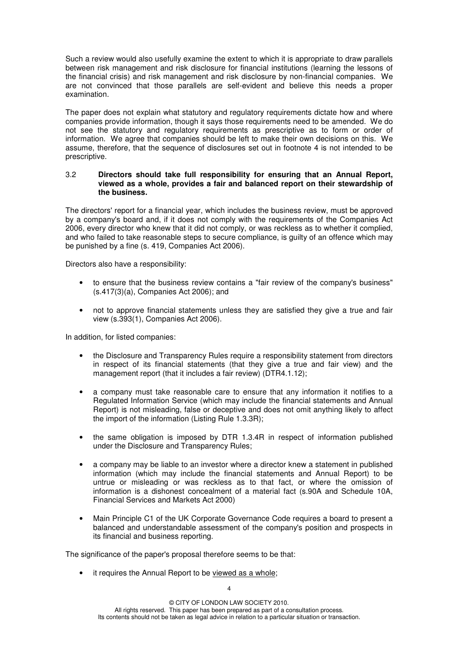Such a review would also usefully examine the extent to which it is appropriate to draw parallels between risk management and risk disclosure for financial institutions (learning the lessons of the financial crisis) and risk management and risk disclosure by non-financial companies. We are not convinced that those parallels are self-evident and believe this needs a proper examination.

The paper does not explain what statutory and regulatory requirements dictate how and where companies provide information, though it says those requirements need to be amended. We do not see the statutory and regulatory requirements as prescriptive as to form or order of information. We agree that companies should be left to make their own decisions on this. We assume, therefore, that the sequence of disclosures set out in footnote 4 is not intended to be prescriptive.

#### 3.2 **Directors should take full responsibility for ensuring that an Annual Report, viewed as a whole, provides a fair and balanced report on their stewardship of the business.**

The directors' report for a financial year, which includes the business review, must be approved by a company's board and, if it does not comply with the requirements of the Companies Act 2006, every director who knew that it did not comply, or was reckless as to whether it complied, and who failed to take reasonable steps to secure compliance, is guilty of an offence which may be punished by a fine (s. 419, Companies Act 2006).

Directors also have a responsibility:

- to ensure that the business review contains a "fair review of the company's business" (s.417(3)(a), Companies Act 2006); and
- not to approve financial statements unless they are satisfied they give a true and fair view (s.393(1), Companies Act 2006).

In addition, for listed companies:

- the Disclosure and Transparency Rules require a responsibility statement from directors in respect of its financial statements (that they give a true and fair view) and the management report (that it includes a fair review) (DTR4.1.12);
- a company must take reasonable care to ensure that any information it notifies to a Regulated Information Service (which may include the financial statements and Annual Report) is not misleading, false or deceptive and does not omit anything likely to affect the import of the information (Listing Rule 1.3.3R);
- the same obligation is imposed by DTR 1.3.4R in respect of information published under the Disclosure and Transparency Rules;
- a company may be liable to an investor where a director knew a statement in published information (which may include the financial statements and Annual Report) to be untrue or misleading or was reckless as to that fact, or where the omission of information is a dishonest concealment of a material fact (s.90A and Schedule 10A, Financial Services and Markets Act 2000)
- Main Principle C1 of the UK Corporate Governance Code requires a board to present a balanced and understandable assessment of the company's position and prospects in its financial and business reporting.

The significance of the paper's proposal therefore seems to be that:

it requires the Annual Report to be viewed as a whole;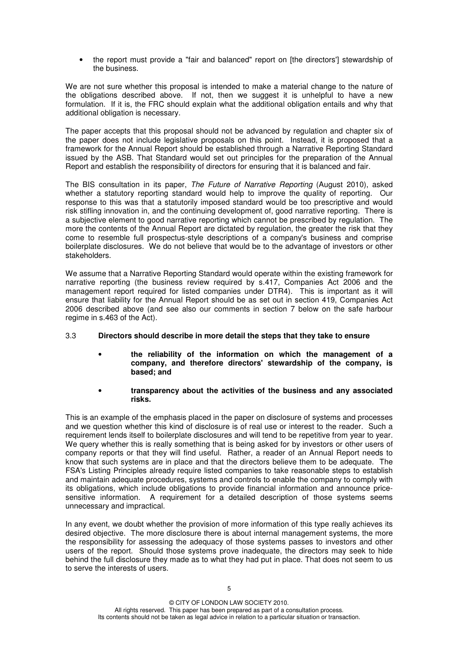• the report must provide a "fair and balanced" report on [the directors'] stewardship of the business.

We are not sure whether this proposal is intended to make a material change to the nature of the obligations described above. If not, then we suggest it is unhelpful to have a new formulation. If it is, the FRC should explain what the additional obligation entails and why that additional obligation is necessary.

The paper accepts that this proposal should not be advanced by regulation and chapter six of the paper does not include legislative proposals on this point. Instead, it is proposed that a framework for the Annual Report should be established through a Narrative Reporting Standard issued by the ASB. That Standard would set out principles for the preparation of the Annual Report and establish the responsibility of directors for ensuring that it is balanced and fair.

The BIS consultation in its paper, *The Future of Narrative Reporting* (August 2010), asked whether a statutory reporting standard would help to improve the quality of reporting. Our response to this was that a statutorily imposed standard would be too prescriptive and would risk stifling innovation in, and the continuing development of, good narrative reporting. There is a subjective element to good narrative reporting which cannot be prescribed by regulation. The more the contents of the Annual Report are dictated by regulation, the greater the risk that they come to resemble full prospectus-style descriptions of a company's business and comprise boilerplate disclosures. We do not believe that would be to the advantage of investors or other stakeholders.

We assume that a Narrative Reporting Standard would operate within the existing framework for narrative reporting (the business review required by s.417, Companies Act 2006 and the management report required for listed companies under DTR4). This is important as it will ensure that liability for the Annual Report should be as set out in section 419, Companies Act 2006 described above (and see also our comments in section 7 below on the safe harbour regime in s.463 of the Act).

# 3.3 **Directors should describe in more detail the steps that they take to ensure**

- **the reliability of the information on which the management of a company, and therefore directors' stewardship of the company, is based; and**
- **transparency about the activities of the business and any associated risks.**

This is an example of the emphasis placed in the paper on disclosure of systems and processes and we question whether this kind of disclosure is of real use or interest to the reader. Such a requirement lends itself to boilerplate disclosures and will tend to be repetitive from year to year. We query whether this is really something that is being asked for by investors or other users of company reports or that they will find useful. Rather, a reader of an Annual Report needs to know that such systems are in place and that the directors believe them to be adequate. The FSA's Listing Principles already require listed companies to take reasonable steps to establish and maintain adequate procedures, systems and controls to enable the company to comply with its obligations, which include obligations to provide financial information and announce pricesensitive information. A requirement for a detailed description of those systems seems unnecessary and impractical.

In any event, we doubt whether the provision of more information of this type really achieves its desired objective. The more disclosure there is about internal management systems, the more the responsibility for assessing the adequacy of those systems passes to investors and other users of the report. Should those systems prove inadequate, the directors may seek to hide behind the full disclosure they made as to what they had put in place. That does not seem to us to serve the interests of users.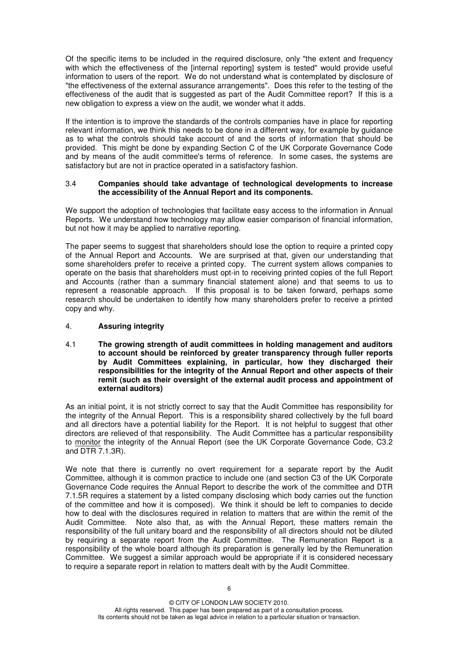Of the specific items to be included in the required disclosure, only "the extent and frequency with which the effectiveness of the [internal reporting] system is tested" would provide useful information to users of the report. We do not understand what is contemplated by disclosure of "the effectiveness of the external assurance arrangements". Does this refer to the testing of the effectiveness of the audit that is suggested as part of the Audit Committee report? If this is a new obligation to express a view on the audit, we wonder what it adds.

If the intention is to improve the standards of the controls companies have in place for reporting relevant information, we think this needs to be done in a different way, for example by guidance as to what the controls should take account of and the sorts of information that should be provided. This might be done by expanding Section C of the UK Corporate Governance Code and by means of the audit committee's terms of reference. In some cases, the systems are satisfactory but are not in practice operated in a satisfactory fashion.

## 3.4 **Companies should take advantage of technological developments to increase the accessibility of the Annual Report and its components.**

We support the adoption of technologies that facilitate easy access to the information in Annual Reports. We understand how technology may allow easier comparison of financial information, but not how it may be applied to narrative reporting.

The paper seems to suggest that shareholders should lose the option to require a printed copy of the Annual Report and Accounts. We are surprised at that, given our understanding that some shareholders prefer to receive a printed copy. The current system allows companies to operate on the basis that shareholders must opt-in to receiving printed copies of the full Report and Accounts (rather than a summary financial statement alone) and that seems to us to represent a reasonable approach. If this proposal is to be taken forward, perhaps some research should be undertaken to identify how many shareholders prefer to receive a printed copy and why.

# 4. **Assuring integrity**

4.1 **The growing strength of audit committees in holding management and auditors to account should be reinforced by greater transparency through fuller reports by Audit Committees explaining, in particular, how they discharged their responsibilities for the integrity of the Annual Report and other aspects of their remit (such as their oversight of the external audit process and appointment of external auditors)**

As an initial point, it is not strictly correct to say that the Audit Committee has responsibility for the integrity of the Annual Report. This is a responsibility shared collectively by the full board and all directors have a potential liability for the Report. It is not helpful to suggest that other directors are relieved of that responsibility. The Audit Committee has a particular responsibility to monitor the integrity of the Annual Report (see the UK Corporate Governance Code, C3.2 and DTR 7.1.3R).

We note that there is currently no overt requirement for a separate report by the Audit Committee, although it is common practice to include one (and section C3 of the UK Corporate Governance Code requires the Annual Report to describe the work of the committee and DTR 7.1.5R requires a statement by a listed company disclosing which body carries out the function of the committee and how it is composed). We think it should be left to companies to decide how to deal with the disclosures required in relation to matters that are within the remit of the Audit Committee. Note also that, as with the Annual Report, these matters remain the responsibility of the full unitary board and the responsibility of all directors should not be diluted by requiring a separate report from the Audit Committee. The Remuneration Report is a responsibility of the whole board although its preparation is generally led by the Remuneration Committee. We suggest a similar approach would be appropriate if it is considered necessary to require a separate report in relation to matters dealt with by the Audit Committee.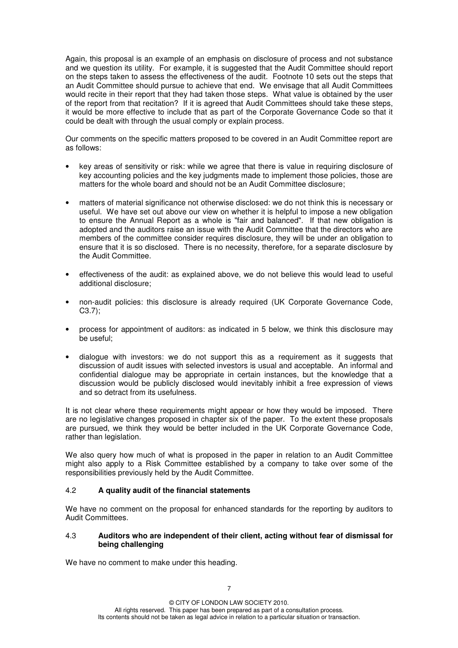Again, this proposal is an example of an emphasis on disclosure of process and not substance and we question its utility. For example, it is suggested that the Audit Committee should report on the steps taken to assess the effectiveness of the audit. Footnote 10 sets out the steps that an Audit Committee should pursue to achieve that end. We envisage that all Audit Committees would recite in their report that they had taken those steps. What value is obtained by the user of the report from that recitation? If it is agreed that Audit Committees should take these steps, it would be more effective to include that as part of the Corporate Governance Code so that it could be dealt with through the usual comply or explain process.

Our comments on the specific matters proposed to be covered in an Audit Committee report are as follows:

- key areas of sensitivity or risk: while we agree that there is value in requiring disclosure of key accounting policies and the key judgments made to implement those policies, those are matters for the whole board and should not be an Audit Committee disclosure;
- matters of material significance not otherwise disclosed: we do not think this is necessary or useful. We have set out above our view on whether it is helpful to impose a new obligation to ensure the Annual Report as a whole is "fair and balanced". If that new obligation is adopted and the auditors raise an issue with the Audit Committee that the directors who are members of the committee consider requires disclosure, they will be under an obligation to ensure that it is so disclosed. There is no necessity, therefore, for a separate disclosure by the Audit Committee.
- effectiveness of the audit: as explained above, we do not believe this would lead to useful additional disclosure;
- non-audit policies: this disclosure is already required (UK Corporate Governance Code, C3.7);
- process for appointment of auditors: as indicated in 5 below, we think this disclosure may be useful;
- dialogue with investors: we do not support this as a requirement as it suggests that discussion of audit issues with selected investors is usual and acceptable. An informal and confidential dialogue may be appropriate in certain instances, but the knowledge that a discussion would be publicly disclosed would inevitably inhibit a free expression of views and so detract from its usefulness.

It is not clear where these requirements might appear or how they would be imposed. There are no legislative changes proposed in chapter six of the paper. To the extent these proposals are pursued, we think they would be better included in the UK Corporate Governance Code, rather than legislation.

We also query how much of what is proposed in the paper in relation to an Audit Committee might also apply to a Risk Committee established by a company to take over some of the responsibilities previously held by the Audit Committee.

# 4.2 **A quality audit of the financial statements**

We have no comment on the proposal for enhanced standards for the reporting by auditors to Audit Committees.

#### 4.3 **Auditors who are independent of their client, acting without fear of dismissal for being challenging**

We have no comment to make under this heading.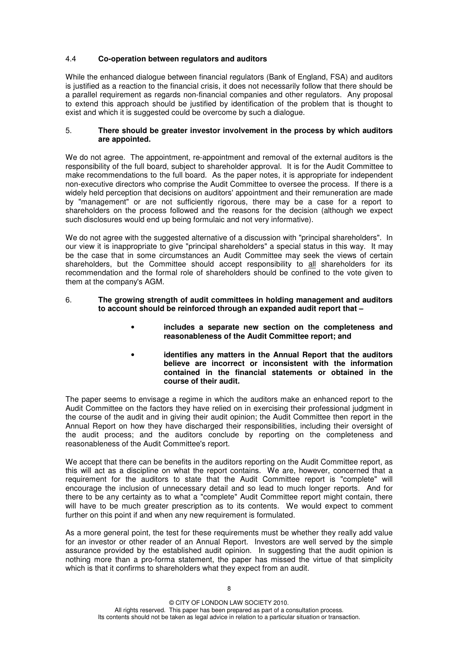# 4.4 **Co-operation between regulators and auditors**

While the enhanced dialogue between financial regulators (Bank of England, FSA) and auditors is justified as a reaction to the financial crisis, it does not necessarily follow that there should be a parallel requirement as regards non-financial companies and other regulators. Any proposal to extend this approach should be justified by identification of the problem that is thought to exist and which it is suggested could be overcome by such a dialogue.

## 5. **There should be greater investor involvement in the process by which auditors are appointed.**

We do not agree. The appointment, re-appointment and removal of the external auditors is the responsibility of the full board, subject to shareholder approval. It is for the Audit Committee to make recommendations to the full board. As the paper notes, it is appropriate for independent non-executive directors who comprise the Audit Committee to oversee the process. If there is a widely held perception that decisions on auditors' appointment and their remuneration are made by "management" or are not sufficiently rigorous, there may be a case for a report to shareholders on the process followed and the reasons for the decision (although we expect such disclosures would end up being formulaic and not very informative).

We do not agree with the suggested alternative of a discussion with "principal shareholders". In our view it is inappropriate to give "principal shareholders" a special status in this way. It may be the case that in some circumstances an Audit Committee may seek the views of certain shareholders, but the Committee should accept responsibility to all shareholders for its recommendation and the formal role of shareholders should be confined to the vote given to them at the company's AGM.

#### 6. **The growing strength of audit committees in holding management and auditors to account should be reinforced through an expanded audit report that –**

- **includes a separate new section on the completeness and reasonableness of the Audit Committee report; and**
- **identifies any matters in the Annual Report that the auditors believe are incorrect or inconsistent with the information contained in the financial statements or obtained in the course of their audit.**

The paper seems to envisage a regime in which the auditors make an enhanced report to the Audit Committee on the factors they have relied on in exercising their professional judgment in the course of the audit and in giving their audit opinion; the Audit Committee then report in the Annual Report on how they have discharged their responsibilities, including their oversight of the audit process; and the auditors conclude by reporting on the completeness and reasonableness of the Audit Committee's report.

We accept that there can be benefits in the auditors reporting on the Audit Committee report, as this will act as a discipline on what the report contains. We are, however, concerned that a requirement for the auditors to state that the Audit Committee report is "complete" will encourage the inclusion of unnecessary detail and so lead to much longer reports. And for there to be any certainty as to what a "complete" Audit Committee report might contain, there will have to be much greater prescription as to its contents. We would expect to comment further on this point if and when any new requirement is formulated.

As a more general point, the test for these requirements must be whether they really add value for an investor or other reader of an Annual Report. Investors are well served by the simple assurance provided by the established audit opinion. In suggesting that the audit opinion is nothing more than a pro-forma statement, the paper has missed the virtue of that simplicity which is that it confirms to shareholders what they expect from an audit.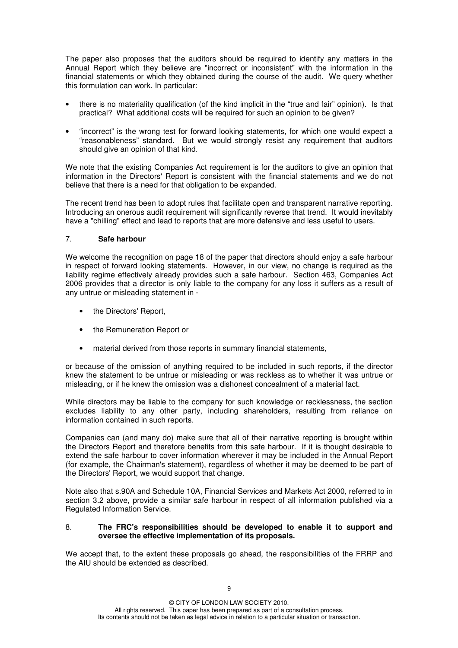The paper also proposes that the auditors should be required to identify any matters in the Annual Report which they believe are "incorrect or inconsistent" with the information in the financial statements or which they obtained during the course of the audit. We query whether this formulation can work. In particular:

- there is no materiality qualification (of the kind implicit in the "true and fair" opinion). Is that practical? What additional costs will be required for such an opinion to be given?
- "incorrect" is the wrong test for forward looking statements, for which one would expect a "reasonableness" standard. But we would strongly resist any requirement that auditors should give an opinion of that kind.

We note that the existing Companies Act requirement is for the auditors to give an opinion that information in the Directors' Report is consistent with the financial statements and we do not believe that there is a need for that obligation to be expanded.

The recent trend has been to adopt rules that facilitate open and transparent narrative reporting. Introducing an onerous audit requirement will significantly reverse that trend. It would inevitably have a "chilling" effect and lead to reports that are more defensive and less useful to users.

## 7. **Safe harbour**

We welcome the recognition on page 18 of the paper that directors should enjoy a safe harbour in respect of forward looking statements. However, in our view, no change is required as the liability regime effectively already provides such a safe harbour. Section 463, Companies Act 2006 provides that a director is only liable to the company for any loss it suffers as a result of any untrue or misleading statement in -

- the Directors' Report,
- the Remuneration Report or
- material derived from those reports in summary financial statements,

or because of the omission of anything required to be included in such reports, if the director knew the statement to be untrue or misleading or was reckless as to whether it was untrue or misleading, or if he knew the omission was a dishonest concealment of a material fact.

While directors may be liable to the company for such knowledge or recklessness, the section excludes liability to any other party, including shareholders, resulting from reliance on information contained in such reports.

Companies can (and many do) make sure that all of their narrative reporting is brought within the Directors Report and therefore benefits from this safe harbour. If it is thought desirable to extend the safe harbour to cover information wherever it may be included in the Annual Report (for example, the Chairman's statement), regardless of whether it may be deemed to be part of the Directors' Report, we would support that change.

Note also that s.90A and Schedule 10A, Financial Services and Markets Act 2000, referred to in section 3.2 above, provide a similar safe harbour in respect of all information published via a Regulated Information Service.

#### 8. **The FRC's responsibilities should be developed to enable it to support and oversee the effective implementation of its proposals.**

We accept that, to the extent these proposals go ahead, the responsibilities of the FRRP and the AIU should be extended as described.